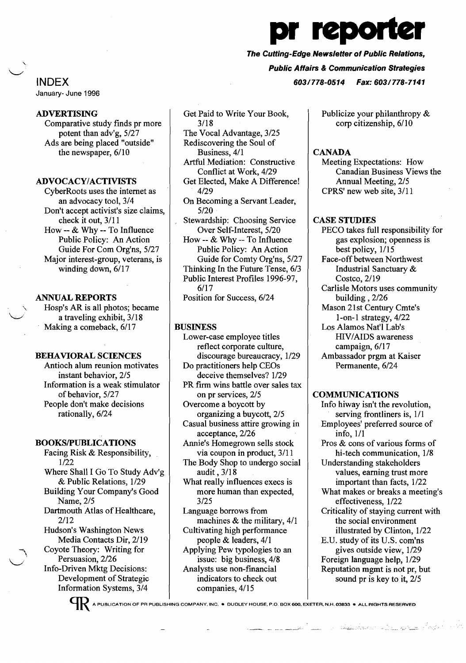

The Cutting-Edge Newsletter of Public Relations,

Public Affairs & Communication Strategies

INDEX 603/778-0514 Fax: 603/778-7141

January- June 1996

# ADVERTISING

Comparative study finds pr more potent than adv'g, 5/27 Ads are being placed "outside" the newspaper, 6/10

# ADVOCACY/ACTIVISTS

CyberRoots uses the internet as an advocacy tool, 3/4 Don't accept activist's size claims, check it out, 3/11 How -- & Why -- To Influence Public Policy: An Action Guide For Com Org'ns, 5/27 Major interest-group, veterans, is winding down, 6/17

## ANNUAL REPORTS

Hosp's AR is all photos; became a traveling exhibit, 3/18 Making a comeback, 6/17

## BEHAVIORAL SCIENCES

Antioch alum reunion motivates instant behavior, 2/5 Information is a weak stimulator of behavior, 5/27 People don't make decisions rationally, 6/24

#### BOOKSIPUBLICATIONS

Facing Risk & Responsibility, 1/22 Where Shall I Go To Study Adv'g & Public Relations, 1/29 Building Your Company's Good Name, 2/5 Dartmouth Atlas of Healthcare, 2/12 Hudson's Washington News Media Contacts Dir, 2/19 Coyote Theory: Writing for Persuasion, 2/26 Info-Driven Mktg Decisions: Development of Strategic Information Systems, 3/4

Get Paid to Write Your Book, 3/18 The Vocal Advantage, 3/25

Rediscovering the Soul of Business, 4/1

Artful Mediation: Constructive Conflict at Work, 4/29

Get Elected, Make A Difference! 4/29

On Becoming a Servant Leader, 5/20

Stewardship: Choosing Service Over Self-Interest, 5/20 How -- & Why -- To Influence Public Policy: An Action

Guide for Comty Org'ns, 5/27 Thinking In the Future Tense, 6/3 Public Interest Profiles 1996-97, 6/17

Position for Success, 6/24

## BUSINESS

Lower-case employee titles reflect corporate culture, discourage bureaucracy, 1/29 Do practitioners help CEOs deceive themselves? 1/29 PR firm wins battle over sales tax on pr services, 2/5 Overcome a boycott by organizing a buycott, 2/5 Casual business attire growing in acceptance, 2/26 Annie's Homegrown sells stock via coupon in product, 3/11 The Body Shop to undergo social audit, 3/18 What really influences execs is more human than expected, 3/25 Language borrows from machines & the military, 4/1 Cultivating high performance people & leaders, 4/1 Applying Pew typologies to an issue: big business, 4/8 Analysts use non-financial indicators to check out

Publicize your philanthropy & corp citizenship, 6/10

# **CANADA**

Meeting Expectations: How Canadian Business Views the Annual Meeting, 2/5 CPRS' new web site, 3/11

#### CASE STUDIES

PECO takes full responsibility for gas explosion; openness is best policy, 1/15 Face-off between Northwest Industrial Sanctuary & Costco, 2/19 Carlisle Motors uses community building, 2/26 Mason 21st Century Cmte's 1-on-1 strategy, 4/22 Los Alamos Nat'l Lab's mV/AIDS awareness campaign, 6/17 Ambassador prgm at Kaiser Permanente, 6/24

# **COMMUNICATIONS**

Info hiway isn't the revolution, serving frontliners is, 1/1 Employees' preferred source of info, 1/1 Pros & cons of various forms of hi-tech communication, 1/8 Understanding stakeholders values, earning trust more important than facts, 1/22 What makes or breaks a meeting's effectiveness, 1/22 Criticality of staying current with the social environment illustrated by Clinton, 1/22 B.U. study of its U.S. com'ns gives outside view, 1/29 Foreign language help, 1/29 Reputation mgmt is not pr, but sound pr is key to it, 2/5

"--- .'.:....- ...:...-::..:

A PUBLICATION OF PR PUBLISHING COMPANY, INC. • DUDLEY HOUSE, P.O. BOX 600, EXETER, N.H. 03833 • ALL RIGHTS RESERVED

companies, 4/15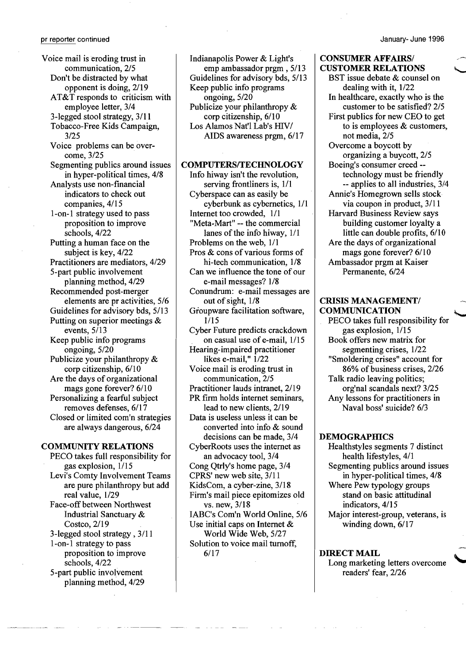Voice mail is eroding trust in communication, 2/5 Don't be distracted by what opponent is doing, 2/19 AT&T responds to criticism with employee letter, 3/4 3-legged stool strategy, 3/11 Tobacco-Free Kids Campaign, 3/25 Voice problems can be overcome, 3/25 Segmenting publics around issues in hyper-political times, 4/8 Analysts use non-financial indicators to check out companies, 4/15 1-on-1 strategy used to pass proposition to improve schools, 4/22 Putting a human face on the subject is key, 4/22 Practitioners are mediators, 4/29 5-part public involvement planning method, 4/29 Recommended post-merger elements are pr activities, 5/6 Guidelines for advisory bds, 5/13 Putting on superior meetings & events, 5/13 Keep public info programs ongoing, 5/20 Publicize your philanthropy & corp citizenship, 6/10 Are the days of organizational mags gone forever? 6/10 Personalizing a fearful subject removes defenses, 6/17 Closed or limited com'n strategies are always dangerous, 6/24

#### COMMUNITY RELATIONS

PECO takes full responsibility for gas explosion, 1/15 Levi's Comty Involvement Teams are pure philanthropy but add real value, 1/29 Face-off between Northwest Industrial Sanctuary & Costco, 2/19 3-legged stool strategy, 3/11 l-on-I strategy to pass proposition to improve schools, 4/22 5-part public involvement planning method, 4/29

Indianapolis Power & Light's emp ambassador prgm , 5/13 Guidelines for advisory bds, 5/13 Keep public info programs ongoing, 5/20 Publicize your philanthropy & corp citizenship, 6/10 Los Alamos Nat'l Lab's HIV/ AIDS awareness prgm, 6/17

#### COMPUTERS/TECHNOLOGY

Info hiway isn't the revolution, serving frontliners is, 1/1 Cyberspace can as easily be cyberbunk as cybernetics, 1/1 Internet too crowded, 1/1 "Meta-Mart" -- the commercial lanes of the info hiway, 1/1 Problems on the web, 1/1 Pros & cons of various forms of hi-tech communication, 1/8 Can we influence the tone of our e-mail messages? 1/8 Conundrum: e-mail messages are out of sight, 1/8 Groupware facilitation software, 1/15 Cyber Future predicts crackdown on casual use of e-mail,  $1/15$ Hearing-impaired practitioner likes e-mail," 1/22 Voice mail is eroding trust in communication, 2/5 Practitioner lauds intranet, 2/19 PR firm holds internet seminars, lead to new clients, 2/19 Data is useless unless it can be converted into info & sound decisions can be made, 3/4 CyberRoots uses the internet as an advocacy tool, 3/4 Cong Qtrly's home page, 3/4 CPRS' new web site, 3/11 KidsCom, a cyber-zine, 3/18 Firm's mail piece epitomizes old vs. new, 3/18 IABC's Com'n World Online, 5/6 Use initial caps on Internet & World Wide Web, 5/27 Solution to voice mail turnoff, 6/17

## CONSUMER AFFAIRS/ CUSTOMER RELATIONS

BST issue debate & counsel on dealing with it, 1/22 In healthcare, exactly who is the customer to be satisfied? 2/5 First publics for new CEO to get to is employees & customers, not media, 2/5 Overcome a boycott by organizing abuycott, 2/5 Boeing's consumer creed technology must be friendly -- applies to all industries, 3/4 Annie's Homegrown sells stock via coupon in product, 3/11 Harvard Business Review says building customer loyalty a little can double profits, 6/10 Are the days of organizational mags gone forever? 6/10 Ambassador prgm at Kaiser Permanente, 6/24

## CRISIS MANAGEMENT/ **COMMUNICATION**

PECO takes full responsibility for gas explosion, 1/15 Book offers new matrix for segmenting crises, 1/22 "Smoldering crises" account for 86% of business crises, 2/26 Talk radio leaving politics; org'nal scandals next? 3/25 Any lessons for practitioners in Naval boss' suicide? 6/3

## **DEMOGRAPHICS**

Healthstyles segments 7 distinct health lifestyles, 4/1 Segmenting publics around issues in hyper-political times, 4/8 Where Pew typology groups stand on basic attitudinal indicators, 4/15 Major interest-group, veterans, is winding down, 6/17

DIRECT MAIL Long marketing letters overcome readers' fear, 2/26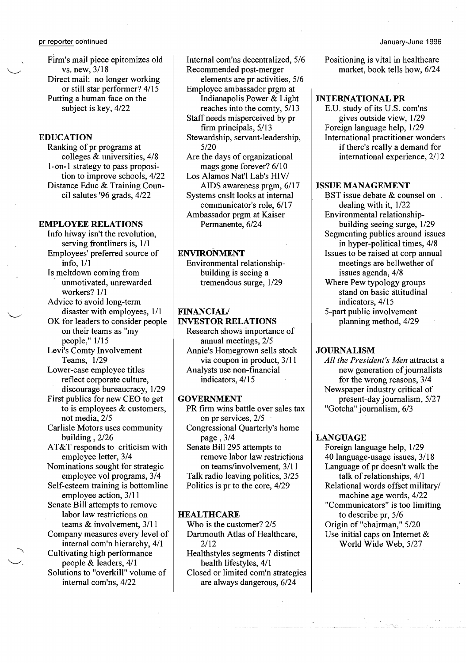Firm's mail piece epitomizes old vs. new, 3/18 Direct mail: no longer working or still star performer? 4/15 Putting a human face on the subject is key, 4/22

# EDUCATION

Ranking of pr programs at colleges & universities, 4/8 l-on-I strategy to pass proposition to improve schools, 4/22 Distance Educ & Training Council salutes '96 grads, 4/22

#### EMPLOYEE RELATIONS

Info hiway isn't the revolution, serving frontliners is, 1/1 Employees' preferred source of info, 1/1

Is meltdown coming from unmotivated, unrewarded workers? 1/1

Advice to avoid long-term disaster with employees,  $1/1$ 

OK for leaders to consider people on their teams as "my people," 1/15

Levi's Comty Involvement Teams, 1/29

Lower-case employee titles reflect corporate culture, discourage bureaucracy, 1/29

First publics for new CEO to get to is employees & customers,

not media, 2/5 Carlisle Motors uses community building, 2/26

AT&T responds to criticism with employee letter, 3/4

Nominations sought for strategic employee vol programs, 3/4

Self-esteem training is bottomline employee action, 3/11

Senate Bill attempts to remove labor law restrictions on teams & involvement, 3/11

Company measures every level of

internal com'n hierarchy, 4/1 Cultivating high performance people & leaders, 4/1

Solutions to "overkill" volume of internal com'ns, 4/22

Internal com'ns decentralized, 5/6 Recommended post-merger elements are pr activities, 5/6 Employee ambassador prgm at Indianapolis Power & Light reaches into the comty, 5/13 Staff needs misperceived by pr firm principals, 5/13 Stewardship, servant-leadership, 5/20 Are the days of organizational mags gone forever? 6/10 Los Alamos Nat'l Lab's HIV/ AIDS awareness prgm, 6/17

Systems cnslt looks at internal communicator's role, 6/17 Ambassador prgm at Kaiser Permanente, 6/24

# ENVIRONMENT

Environmental relationshipbuilding is seeing a tremendous surge, 1/29

#### FINANCIAL/

INVESTOR RELATIONS

Research shows importance of annual meetings, 2/5 Annie's Homegrown sells stock via coupon in product, 3/11 Analysts use non-financial indicators, 4/15

# GOVERNMENT

PR firm wins battle over sales tax on pr services, 2/5 Congressional Quarterly's home page , 3/4 Senate Bill 295 attempts to remove labor law restrictions on teams/involvement, 3/11 Talk radio leaving politics, 3/25 Politics is pr to the core, 4/29

#### **HEALTHCARE**

Who is the customer? 2/5 Dartmouth Atlas of Healthcare, 2/12

Healthstyles segments 7 distinct health lifestyles, 4/1 Closed or limited com'n strategies are always dangerous, 6/24

Positioning is vital in healthcare market, book tells how, 6/24

#### INTERNATIONAL PR

E.U. study of its U.S. com'ns gives outside view, 1/29 Foreign language help, 1/29 International practitioner wonders if there's really a demand for international experience, 2/12

# ISSUE MANAGEMENT

BST issue debate & counsel on. dealing with it, 1/22 Environmental relationshipbuilding seeing surge, 1/29 Segmenting publics around issues in hyper-political times, 4/8 Issues to be raised at corp annual meetings are bellwether of issues agenda, 4/8 Where Pew typology groups stand on basic attitudinal indicators, 4/15 5-part public involvement planning method, 4/29

## **JOURNALISM**

*All the President's Men* attractst a new generation of journalists for the wrong reasons, 3/4 Newspaper industry critical of present-day journalism, 5/27 "Gotcha" journalism, 6/3

#### LANGUAGE

Foreign language help, 1/29 40 language-usage issues, 3/18 Language of pr doesn't walk the talk of relationships, 4/1 Relational words offset military/ machine age words, 4/22 "Communicators" is too limiting to describe pr, 5/6 Origin of "chairman," 5/20 Use initial caps on Internet & World Wide Web, 5/27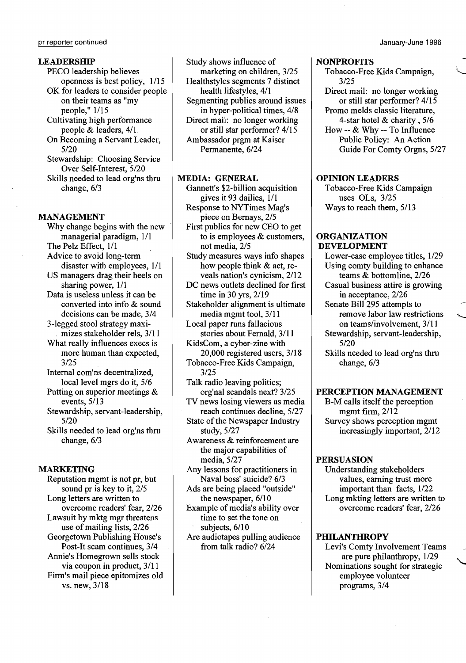#### LEADERSHIP

PECO leadership believes openness is best policy, 1/15 OK for leaders to consider people on their teams as "my people," 1/15 Cultivating high performance people & leaders, 4/1 On Becoming a Servant Leader, 5/20 Stewardship: Choosing Service Over Self-Interest, 5/20 Skills needed to lead org'ns thru change, 6/3

#### MANAGEMENT

Why change begins with the new managerial paradigm, 1/1 The Pelz Effect, 1/1 Advice to avoid long-term disaster with employees, 1/1 US managers drag their heels on sharing power, 1/1 Data is useless unless it can be converted into info & sound decisions can be made, 3/4 3-legged stool strategy maxi . mizes stakeholder rels, 3/11 What really influences execs is more human than expected, 3/25 Internal com'ns decentralized, local level mgrs do it, 5/6 Putting on superior meetings & events, 5/13 Stewardship, servant-leadership, 5/20

Skills needed to lead org'ns thru change, 6/3

#### MARKETING

Reputation mgmt is not pr, but sound pr is key to it, 2/5 Long letters are written to overcome readers' fear, 2/26 Lawsuit by mktg mgr threatens use of mailing lists, 2/26 Georgetown Publishing House's Post-It scam continues, 3/4 Annie's Homegrown sells stock via coupon in product,  $3/11$ Firm's mail piece epitomizes old vs. new, 3/18

Study shows influence of marketing on children, 3/25 Healthstyles segments 7 distinct

health lifestyles, 4/1 Segmenting publics around issues in hyper-political times, 4/8 Direct mail: no longer working or still star performer? 4/15 Ambassador prgm at Kaiser Permanente, 6/24

## MEDIA: GENERAL

Gannett's \$2-billion acquisition gives it 93 dailies, 1/1 Response to NYTimes Mag's piece on Bernays, 2/5 First publics for new CEO to get to is employees & customers, not media, 2/5 Study measures ways info shapes

how people think & act, reveals nation's cynicism, 2/12

DC news outlets declined for first time in 30 yrs, 2/19

Stakeholder alignment is ultimate media mgmt tool, 3/11

Local paper runs fallacious stories about Fernald, 3/11

KidsCom, a cyber-zine with 20,000 registered users, 3/18 Tobacco-Free Kids Campaign,

- 3/25
- Talk radio leaving politics; org'nal scandals next? 3/25
- TV news losing viewers as media reach continues decline, 5/27
- State of the Newspaper Industry study, 5/27
- Awareness & reinforcement are the major capabilities of media, 5/27
- Any lessons for practitioners in Naval boss' suicide? 6/3
- Ads are being placed "outside" the newspaper, 6/10
- Example of media's ability over time to set the tone on subjects, 6/10
- Are audiotapes pulling audience from talk radio? 6/24

#### NONPROFITS

Tobacco-Free Kids Campaign, 3/25

Direct mail: no longer working or still star performer? 4/15 Promo melds classic literature, 4-star hotel & charity, 5/6

How -- & Why -- To Influence Public Policy: An Action Guide For Comty Orgns, 5/27

#### OPINION LEADERS

Tobacco-Free Kids Campaign uses OLs, 3/25 Ways to reach them, 5/13

#### ORGANIZATION DEVELOPMENT

Lower-case employee titles, 1/29 Using comty building to enhance teams & bottomline, 2/26

Casual business attire is growing in acceptance, 2/26

Senate Bill 295 attempts to remove labor law restrictions on teams/involvement, 3/11

Stewardship, servant-leadership, 5/20

Skills needed to lead org'ns thru change, 6/3

# PERCEPTION MANAGEMENT

B-M calls itself the perception mgmt firm, 2/12 Survey shows perception mgmt increasingly important, 2/12

## PERSUASION

Understanding stakeholders values, earning trust more important than facts, 1/22 Long mkting letters are written to overcome readers' fear, 2/26

#### **PHILANTHROPY**

Levi's Comty Involvement Teams are pure philanthropy, 1/29<br>Nominations sought for strategic employee volunteer programs, 3/4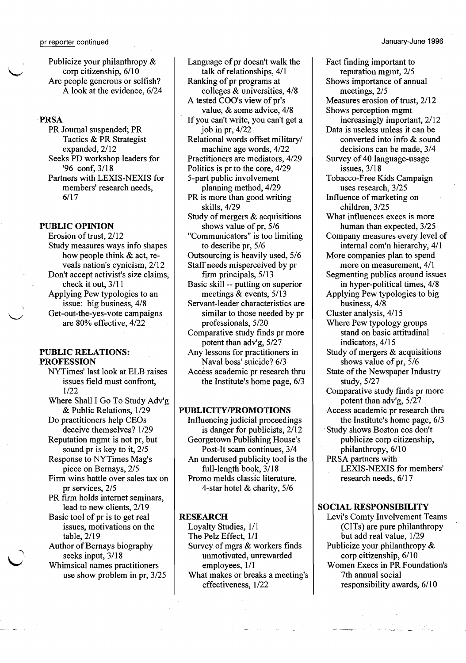Publicize your philanthropy & corp citizenship,  $6/10$ Are people generous or selfish? A look at the evidence, 6/24

## PRSA

PR Journal suspended; PR Tactics & PR Strategist expanded,  $2/12$ Seeks PD workshop leaders for '96 conf, 3/18 Partners with LEXIS-NEXIS for members' research needs, 6/17

#### PUBLIC OPINION

Erosion of trust, 2/12 Study measures ways info shapes how people think & act, reveals nation's cynicism, 2/12 Don't accept activist's size claims, check it out, 3/11 Applying Pew typologies to an issue: big business, 4/8 Get-out-the-yes-vote campaigns \-I are 80% effective, 4/22

#### PUBLIC RELATIONS: PROFESSION

NYTimes' last look at ELB raises issues field must confront, 1/22

Where Shall I Go To Study Adv'g & Public Relations, 1/29 Do practitioners help CEOs

deceive themselves? 1/29 Reputation mgmt is not pr, but

sound pr is key to it, 2/5 Response to NYTimes Mag's

piece on Bernays, 2/5 Firm wins battle over sales tax on

pr services, 2/5

PR firm holds internet seminars, lead to new clients, 2/19

Basic tool of pr is to get real issues, motivations on the table, 2/19

Author of Bernays biography seeks input, 3/18<br>Whimsical names practitioners

use show problem in pr, 3/25

Language of pr doesn't walk the talk of relationships, 4/1 Ranking of pr programs at colleges & universities, 4/8 A tested COO's view of pr's value, & some advice, 4/8 If you can't write, you can't get a job in pr, 4/22 Relational words offset military/ machine age words, 4/22 Practitioners are mediators, 4/29 Politics is pr to the core, 4/29 5-part public involvement planning method, 4/29 PR is more than good writing skills, 4/29 Study of mergers & acquisitions shows value of pr, 5/6 "Communicators" is too limiting to describe pr, 5/6 Outsourcing is heavily used, 5/6 Staff needs misperceived by pr firm principals, 5/13 Basic skill -- putting on superior meetings & events, 5/13 Servant-leader characteristics are similar to those needed by pr professionals, 5/20 Comparative study finds pr more potent than adv'g, 5/27 Any lessons for practitioners in Naval boss' suicide? 6/3 Access academic pr research thru the Institute's home page, 6/3

# PUBLICITY/PROMOTIONS

Influencing judicial proceedings is danger for publicists, 2/12 Georgetown Publishing House's Post-It scam continues, 3/4 An underused publicity tool is the full-length book, 3/18 Promo melds classic literature, 4-star hotel & charity, 5/6

#### RESEARCH

Loyalty Studies, 1/1 The Pelz Effect, 1/1 Survey of mgrs & workers finds unmotivated, unrewarded employees, 1/1 What makes or breaks a meeting's effectiveness, 1/22

Fact finding important to reputation mgmt, 2/5 Shows importance of annual meetings, 2/5 Measures erosion of trust, 2/12 Shows perception mgmt increasingly important, 2/12 Data is useless unless it can be converted into info & sound decisions can be made, 3/4 Survey of 40 language-usage issues, 3/18 Tobacco-Free Kids Campaign uses research, 3/25 Influence of marketing on children, 3/25 What influences execs is more human than expected, 3/25 Company measures every level of internal com'n hierarchy, 4/1 More companies plan to spend more on measurement, 4/1 Segmenting publics around issues in hyper-political times, 4/8 Applying Pew typologies to big business, 4/8 Cluster analysis, 4/15 Where Pew typology groups stand on basic attitudinal indicators, 4/15 Study of mergers & acquisitions shows value of pr, 5/6 State of the Newspaper Industry study, 5/27 Comparative study finds pr more potent than adv'g, 5/27 Access academic pr research thru the Institute's home page, 6/3 Study shows Boston cos don't publicize corp citizenship, philanthropy, 6/10 PRSA partners with LEXIS-NEXIS for members' research needs, 6/17

#### SOCIAL RESPONSIBILITY

Levi's Comty Involvement Teams (CITs) are pure philanthropy but add real value, 1/29 Publicize your philanthropy & corp citizenship, 6/10 Women Execs in PR Foundation's 7th annual social responsibility awards, 6/10